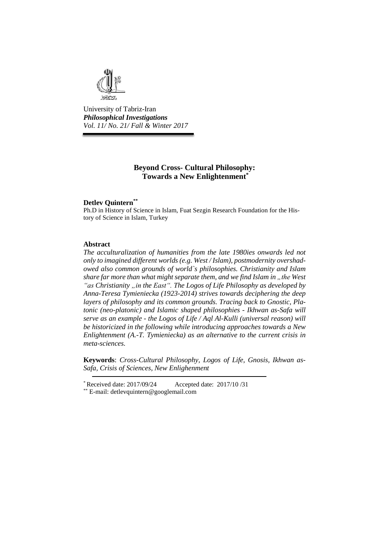

University of Tabriz-Iran *Philosophical Investigations Vol. 11/ No. 21/ Fall & Winter 2017*

# **Beyond Cross- Cultural Philosophy: Towards a New Enlightenment\***

## **Detlev Quintern\*\***

Ph.D in History of Science in Islam, Fuat Sezgin Research Foundation for the History of Science in Islam, Turkey

## **Abstract**

*The acculturalization of humanities from the late 1980ies onwards led not only to imagined different worlds (e.g. West / Islam), postmodernity overshadowed also common grounds of world`s philosophies. Christianity and Islam share far more than what might separate them, and we find Islam in "the West* "as *Christianity* , in the *East*". The *Logos of Life Philosophy as developed by Anna-Teresa Tymieniecka (1923-2014) strives towards deciphering the deep layers of philosophy and its common grounds. Tracing back to Gnostic, Platonic (neo-platonic) and Islamic shaped philosophies - Ikhwan as-Safa will serve as an example - the Logos of Life / Aql Al-Kulli (universal reason) will be historicized in the following while introducing approaches towards a New Enlightenment (A.-T. Tymieniecka) as an alternative to the current crisis in meta-sciences.*

**Keywords**: *Cross-Cultural Philosophy, Logos of Life, Gnosis, Ikhwan as-Safa, Crisis of Sciences, New Enlighenment*

<sup>\*</sup> Received date: 2017/09/24 Accepted date: 2017/10 /31

<sup>\*\*</sup> E-mail: [detlevquintern@googlemail.com](mailto:detlevquintern@googlemail.com)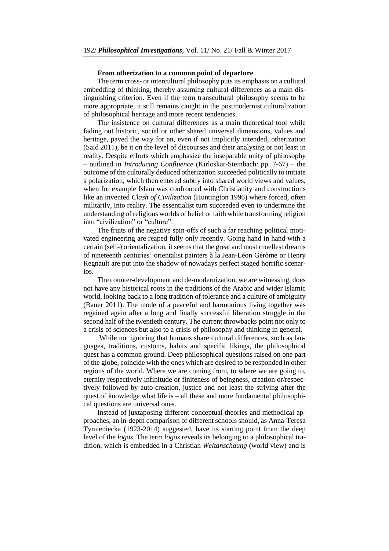#### **From otherization to a common point of departure**

The term cross- or intercultural philosophy puts its emphasis on a cultural embedding of thinking, thereby assuming cultural differences as a main distinguishing criterion. Even if the term transcultural philosophy seems to be more appropriate, it still remains caught in the postmodernist culturalization of philosophical heritage and more recent tendencies.

The insistence on cultural differences as a main theoretical tool while fading out historic, social or other shared universal dimensions, values and heritage, paved the way for an, even if not implicitly intended, otherization (Said 2011), be it on the level of discourses and their analysing or not least in reality. Despite efforts which emphasize the inseparable unity of philosophy – outlined in *Introducing Confluence* (Kirloskar-Steinbach: pp. 7-67) – the outcome of the culturally deduced otherization succeeded politically to initiate a polarization, which then entered subtly into shared world views and values, when for example Islam was confronted with Christianity and constructions like an invented *Clash of Civilization* (Huntington 1996) where forced, often militarily, into reality. The essentialist turn succeeded even to undermine the understanding of religious worlds of belief or faith while transforming religion into "civilization" or "culture".

The fruits of the negative spin-offs of such a far reaching political motivated engineering are reaped fully only recently. Going hand in hand with a certain (self-) orientalization, it seems that the great and most cruellest dreams of nineteenth centuries' orientalist painters à la Jean-Léon Gérôme or Henry Regnault are put into the shadow of nowadays perfect staged horrific scenarios.

The counter-development and de-modernization, we are witnessing, does not have any historical roots in the traditions of the Arabic and wider Islamic world, looking back to a long tradition of tolerance and a culture of ambiguity (Bauer 2011). The mode of a peaceful and harmonious living together was regained again after a long and finally successful liberation struggle in the second half of the twentieth century. The current throwbacks point not only to a crisis of sciences but also to a crisis of philosophy and thinking in general.

While not ignoring that humans share cultural differences, such as languages, traditions, customs, habits and specific likings, the philosophical quest has a common ground. Deep philosophical questions raised on one part of the globe, coincide with the ones which are desired to be responded in other regions of the world. Where we are coming from, to where we are going to, eternity respectively infinitude or finiteness of beingness, creation or/respectively followed by auto-creation, justice and not least the striving after the quest of knowledge what life is – all these and more fundamental philosophical questions are universal ones.

Instead of juxtaposing different conceptual theories and methodical approaches, an in-depth comparison of different schools should, as Anna-Teresa Tymieniecka (1923-2014) suggested, have its starting point from the deep level of the *logos*. The term *logos* reveals its belonging to a philosophical tradition, which is embedded in a Christian *Weltanschaung* (world view) and is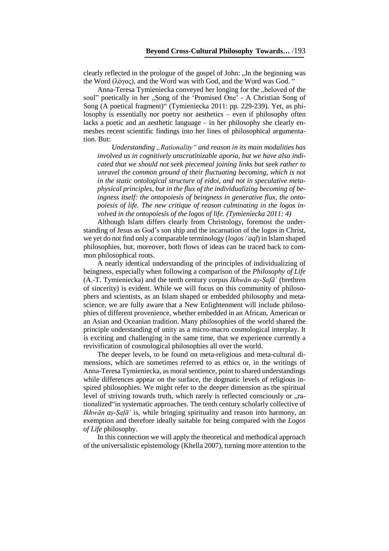clearly reflected in the prologue of the gospel of John: "In the beginning was the Word (λόγος), and the Word was with God, and the Word was God. "

Anna-Teresa Tymieniecka conveyed her longing for the "beloved of the soul" poetically in her "Song of the 'Promised One' - A Christian Song of Song (A poetical fragment)" (Tymieniecka 2011: pp. 229-239). Yet, as philosophy is essentially nor poetry nor aesthetics – even if philosophy often lacks a poetic and an aesthetic language – in her philosophy she clearly enmeshes recent scientific findings into her lines of philosophical argumentation. But:

*Understanding "Rationality" and reason in its main modalities has involved us in cognitively unscrutinizable aporia, but we have also indicated that we should not seek piecemeal joining links but seek rather to unravel the common ground of their fluctuating becoming, which is not in the static ontological structure of eidoi, and not in speculative metaphysical principles, but in the flux of the individualizing becoming of beingness itself: the ontopoiesis of beingness in generative flux, the ontopoiesis of life. The new critique of reason culminating in the logos involved in the ontopoiesis of the logos of life. (Tymieniecka 2011: 4)*

Although Islam differs clearly from Christology, foremost the understanding of Jesus as God's son ship and the incarnation of the logos in Christ, we yet do not find only a comparable terminology (*logos* / aql) in Islam shaped philosophies, but, moreover, both flows of ideas can be traced back to common philosophical roots.

A nearly identical understanding of the principles of individualizing of beingness, especially when following a comparison of the *Philosophy of Life* (A.-T. Tymieniecka) and the tenth century corpus *Ikhwān aṣ-Ṣafāʾ* (brethren of sincerity) is evident. While we will focus on this community of philosophers and scientists, as an Islam shaped or embedded philosophy and metascience, we are fully aware that a New Enlightenment will include philosophies of different provenience, whether embedded in an African, American or an Asian and Oceanian tradition. Many philosophies of the world shared the principle understanding of unity as a micro-macro cosmological interplay. It is exciting and challenging in the same time, that we experience currently a revivification of cosmological philosophies all over the world.

The deeper levels, to be found on meta-religious and meta-cultural dimensions, which are sometimes referred to as ethics or, in the writings of Anna-Teresa Tymieniecka, as moral sentience, point to shared understandings while differences appear on the surface, the dogmatic levels of religious inspired philosophies. We might refer to the deeper dimension as the spiritual level of striving towards truth, which rarely is reflected consciously or "rationalized"in systematic approaches. The tenth century scholarly collective of *Ikhwān aṣ-Ṣafāʾ* is, while bringing spirituality and reason into harmony, an exemption and therefore ideally suitable for being compared with the *Logos of Life* philosophy.

In this connection we will apply the theoretical and methodical approach of the universalistic epistemology (Khella 2007), turning more attention to the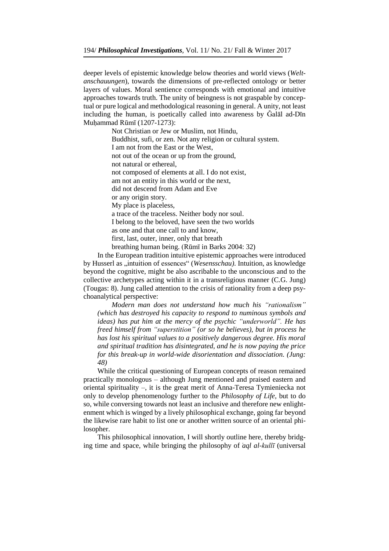deeper levels of epistemic knowledge below theories and world views (*Weltanschauungen*), towards the dimensions of pre-reflected ontology or better layers of values. Moral sentience corresponds with emotional and intuitive approaches towards truth. The unity of beingness is not graspable by conceptual or pure logical and methodological reasoning in general. A unity, not least including the human, is poetically called into awareness by Ǧalāl ad-Dīn Muḥammad Rūmī (1207-1273):

> Not Christian or Jew or Muslim, not Hindu, Buddhist, sufi, or zen. Not any religion or cultural system. I am not from the East or the West, not out of the ocean or up from the ground, not natural or ethereal, not composed of elements at all. I do not exist, am not an entity in this world or the next, did not descend from Adam and Eve or any origin story. My place is placeless, a trace of the traceless. Neither body nor soul. I belong to the beloved, have seen the two worlds as one and that one call to and know, first, last, outer, inner, only that breath breathing human being. (Rūmī in Barks 2004: 32)

In the European tradition intuitive epistemic approaches were introduced by Husserl as "intuition of essences" (*Wesensschau*). Intuition, as knowledge beyond the cognitive, might be also ascribable to the unconscious and to the collective archetypes acting within it in a transreligious manner (C.G. Jung) (Tougas: 8). Jung called attention to the crisis of rationality from a deep psychoanalytical perspective:

*Modern man does not understand how much his "rationalism" (which has destroyed his capacity to respond to numinous symbols and ideas) has put him at the mercy of the psychic "underworld". He has freed himself from "superstition" (or so he believes), but in process he has lost his spiritual values to a positively dangerous degree. His moral and spiritual tradition has disintegrated, and he is now paying the price for this break-up in world-wide disorientation and dissociation. (Jung: 48)*

While the critical questioning of European concepts of reason remained practically monologous – although Jung mentioned and praised eastern and oriental spirituality –, it is the great merit of Anna-Teresa Tymieniecka not only to develop phenomenology further to the *Philosophy of Life,* but to do so, while conversing towards not least an inclusive and therefore new enlightenment which is winged by a lively philosophical exchange, going far beyond the likewise rare habit to list one or another written source of an oriental philosopher.

This philosophical innovation, I will shortly outline here, thereby bridging time and space, while bringing the philosophy of *aql al-kullī* (universal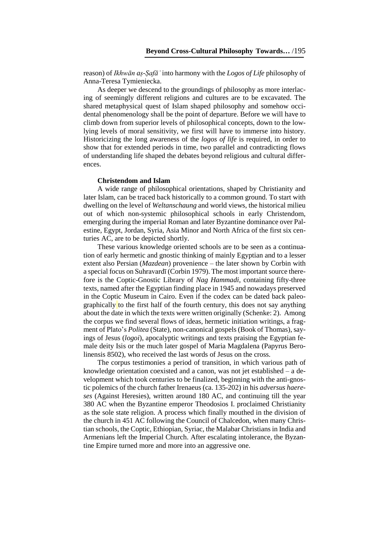reason) of *Ikhwān aṣ-Ṣafāʾ* into harmony with the *Logos of Life* philosophy of Anna-Teresa Tymieniecka.

As deeper we descend to the groundings of philosophy as more interlacing of seemingly different religions and cultures are to be excavated. The shared metaphysical quest of Islam shaped philosophy and somehow occidental phenomenology shall be the point of departure. Before we will have to climb down from superior levels of philosophical concepts, down to the lowlying levels of moral sensitivity, we first will have to immerse into history. Historicizing the long awareness of the *logos of life* is required, in order to show that for extended periods in time, two parallel and contradicting flows of understanding life shaped the debates beyond religious and cultural differences.

#### **Christendom and Islam**

A wide range of philosophical orientations, shaped by Christianity and later Islam, can be traced back historically to a common ground. To start with dwelling on the level of *Weltanschaung* and world views, the historical milieu out of which non-systemic philosophical schools in early Christendom, emerging during the imperial Roman and later Byzantine dominance over Palestine, Egypt, Jordan, Syria, Asia Minor and North Africa of the first six centuries AC, are to be depicted shortly.

These various knowledge oriented schools are to be seen as a continuation of early hermetic and gnostic thinking of mainly Egyptian and to a lesser extent also Persian (*Mazdean*) provenience – the later shown by Corbin with a special focus on Suhravardī (Corbin 1979). The most important source therefore is the Coptic-Gnostic Library of *Nag Hammadi*, containing fifty-three texts, named after the Egyptian finding place in 1945 and nowadays preserved in the Coptic Museum in Cairo. Even if the codex can be dated back paleographically to the first half of the fourth century, this does not say anything about the date in which the texts were written originally (Schenke: 2). Among the corpus we find several flows of ideas, hermetic initiation writings, a fragment of Plato's *Politea* (State), non-canonical gospels (Book of Thomas), sayings of Jesus (*logoi*), apocalyptic writings and texts praising the Egyptian female deity Isis or the much later gospel of Maria Magdalena (Papyrus Berolinensis 8502), who received the last words of Jesus on the cross.

The corpus testimonies a period of transition, in which various path of knowledge orientation coexisted and a canon, was not jet established – a development which took centuries to be finalized, beginning with the anti-gnostic polemics of the church father Irenaeus (ca. 135-202) in his *adversus haereses* (Against Heresies), written around 180 AC, and continuing till the year 380 AC when the Byzantine emperor Theodosios I. proclaimed Christianity as the sole state religion. A process which finally mouthed in the division of the church in 451 AC following the Council of Chalcedon, when many Christian schools, the Coptic, Ethiopian, Syriac, the Malabar Christiansin India and Armenians left the Imperial Church. After escalating intolerance, the Byzantine Empire turned more and more into an aggressive one.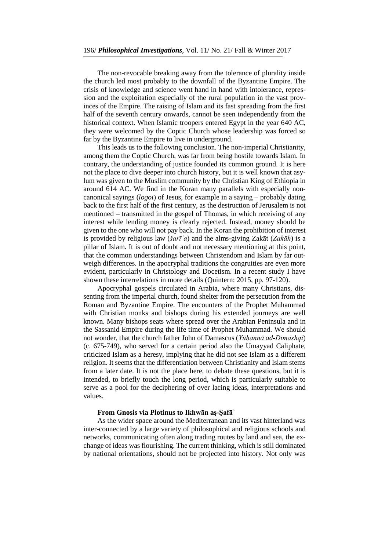The non-revocable breaking away from the tolerance of plurality inside the church led most probably to the downfall of the Byzantine Empire. The crisis of knowledge and science went hand in hand with intolerance, repression and the exploitation especially of the rural population in the vast provinces of the Empire. The raising of Islam and its fast spreading from the first half of the seventh century onwards, cannot be seen independently from the historical context. When Islamic troopers entered Egypt in the year 640 AC, they were welcomed by the Coptic Church whose leadership was forced so far by the Byzantine Empire to live in underground.

This leads us to the following conclusion. The non-imperial Christianity, among them the Coptic Church, was far from being hostile towards Islam. In contrary, the understanding of justice founded its common ground. It is here not the place to dive deeper into church history, but it is well known that asylum was given to the Muslim community by the Christian King of Ethiopia in around 614 AC. We find in the Koran many parallels with especially noncanonical sayings (*logoi*) of Jesus, for example in a saying – probably dating back to the first half of the first century, as the destruction of Jerusalem is not mentioned – transmitted in the gospel of Thomas, in which receiving of any interest while lending money is clearly rejected. Instead, money should be given to the one who will not pay back. In the Koran the prohibition of interest is provided by religious law (*šarīʿa*) and the alms-giving Zakāt (*Zakāh*) is a pillar of Islam. It is out of doubt and not necessary mentioning at this point, that the common understandings between Christendom and Islam by far outweigh differences. In the apocryphal traditions the congruities are even more evident, particularly in Christology and Docetism. In a recent study I have shown these interrelations in more details (Quintern: 2015, pp. 97-120).

Apocryphal gospels circulated in Arabia, where many Christians, dissenting from the imperial church, found shelter from the persecution from the Roman and Byzantine Empire. The encounters of the Prophet Muhammad with Christian monks and bishops during his extended journeys are well known. Many bishops seats where spread over the Arabian Peninsula and in the Sassanid Empire during the life time of Prophet Muhammad. We should not wonder, that the church father John of Damascus (*Yūḥannā ad-Dimashqī*) (c. 675-749), who served for a certain period also the Umayyad Caliphate, criticized Islam as a heresy, implying that he did not see Islam as a different religion. It seems that the differentiation between Christianity and Islam stems from a later date. It is not the place here, to debate these questions, but it is intended, to briefly touch the long period, which is particularly suitable to serve as a pool for the deciphering of over lacing ideas, interpretations and values.

### **From Gnosis via Plotinus to Ikhwān aṣ-Ṣafāʾ**

As the wider space around the Mediterranean and its vast hinterland was inter-connected by a large variety of philosophical and religious schools and networks, communicating often along trading routes by land and sea, the exchange of ideas was flourishing. The current thinking, which is still dominated by national orientations, should not be projected into history. Not only was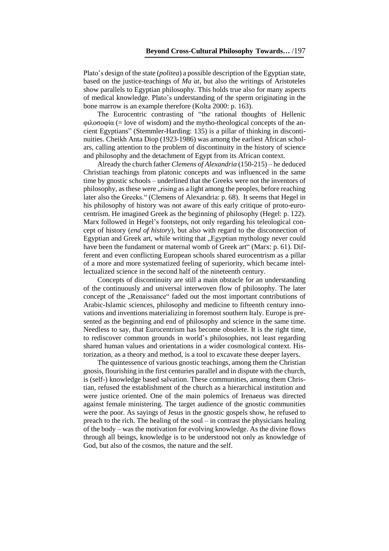Plato's design of the state (*politea*) a possible description of the Egyptian state, based on the justice-teachings of *Ma at*, but also the writings of Aristoteles show parallels to Egyptian philosophy. This holds true also for many aspects of medical knowledge. Plato's understanding of the sperm originating in the bone marrow is an example therefore (Kolta 2000: p. 163).

The Eurocentric contrasting of "the rational thoughts of Hellenic  $\phi\lambda$ οσοφία (= love of wisdom) and the mytho-theological concepts of the ancient Egyptians" (Stemmler-Harding: 135) is a pillar of thinking in discontinuities. Cheikh Anta Diop (1923-1986) was among the earliest African scholars, calling attention to the problem of discontinuity in the history of science and philosophy and the detachment of Egypt from its African context.

Already the church father *Clemens of Alexandria* (150-215) – he deduced Christian teachings from platonic concepts and was influenced in the same time by gnostic schools – underlined that the Greeks were not the inventors of philosophy, as these were "rising as a light among the peoples, before reaching later also the Greeks." (Clemens of Alexandria: p. 68). It seems that Hegel in his philosophy of history was not aware of this early critique of proto-eurocentrism. He imagined Greek as the beginning of philosophy (Hegel: p. 122). Marx followed in Hegel's footsteps, not only regarding his teleological concept of history (*end of history*), but also with regard to the disconnection of Egyptian and Greek art, while writing that "Egyptian mythology never could have been the fundament or maternal womb of Greek art" (Marx: p. 61). Different and even conflicting European schools shared eurocentrism as a pillar of a more and more systematized feeling of superiority, which became intellectualized science in the second half of the nineteenth century.

Concepts of discontinuity are still a main obstacle for an understanding of the continuously and universal interwoven flow of philosophy. The later concept of the "Renaissance" faded out the most important contributions of Arabic-Islamic sciences, philosophy and medicine to fifteenth century innovations and inventions materializing in foremost southern Italy. Europe is presented as the beginning and end of philosophy and science in the same time. Needless to say, that Eurocentrism has become obsolete. It is the right time, to rediscover common grounds in world's philosophies, not least regarding shared human values and orientations in a wider cosmological context. Historization, as a theory and method, is a tool to excavate these deeper layers.

The quintessence of various gnostic teachings, among them the Christian gnosis, flourishing in the first centuries parallel and in dispute with the church, is (self-) knowledge based salvation. These communities, among them Christian, refused the establishment of the church as a hierarchical institution and were justice oriented. One of the main polemics of Irenaeus was directed against female ministering. The target audience of the gnostic communities were the poor. As sayings of Jesus in the gnostic gospels show, he refused to preach to the rich. The healing of the soul – in contrast the physicians healing of the body – was the motivation for evolving knowledge. As the divine flows through all beings, knowledge is to be understood not only as knowledge of God, but also of the cosmos, the nature and the self.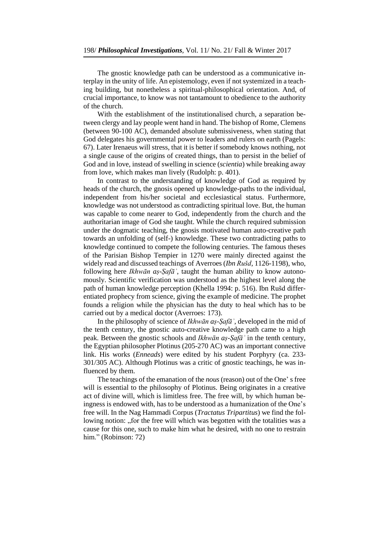The gnostic knowledge path can be understood as a communicative interplay in the unity of life. An epistemology, even if not systemized in a teaching building, but nonetheless a spiritual-philosophical orientation. And, of crucial importance, to know was not tantamount to obedience to the authority of the church.

With the establishment of the institutionalised church, a separation between clergy and lay people went hand in hand. The bishop of Rome, Clemens (between 90-100 AC), demanded absolute submissiveness, when stating that God delegates his governmental power to leaders and rulers on earth (Pagels: 67). Later Irenaeus will stress, that it is better if somebody knows nothing, not a single cause of the origins of created things, than to persist in the belief of God and in love, instead of swelling in science (*scientia*) while breaking away from love, which makes man lively (Rudolph: p. 401).

In contrast to the understanding of knowledge of God as required by heads of the church, the gnosis opened up knowledge-paths to the individual, independent from his/her societal and ecclesiastical status. Furthermore, knowledge was not understood as contradicting spiritual love. But, the human was capable to come nearer to God, independently from the church and the authoritarian image of God she taught. While the church required submission under the dogmatic teaching, the gnosis motivated human auto-creative path towards an unfolding of (self-) knowledge. These two contradicting paths to knowledge continued to compete the following centuries. The famous theses of the Parisian Bishop Tempier in 1270 were mainly directed against the widely read and discussed teachings of Averroes (*Ibn Rušd*, 1126-1198), who, following here *Ikhwān aṣ-Ṣafāʾ*, taught the human ability to know autonomously. Scientific verification was understood as the highest level along the path of human knowledge perception (Khella 1994: p. 516). Ibn Rušd differentiated prophecy from science, giving the example of medicine. The prophet founds a religion while the physician has the duty to heal which has to be carried out by a medical doctor (Averroes: 173).

In the philosophy of science of *Ikhwān aṣ-Ṣafāʾ*, developed in the mid of the tenth century, the gnostic auto-creative knowledge path came to a high peak. Between the gnostic schools and *Ikhwān aṣ-Ṣafāʾ* in the tenth century, the Egyptian philosopher Plotinus (205-270 AC) was an important connective link. His works (*Enneads*) were edited by his student Porphyry (ca. 233- 301/305 AC). Although Plotinus was a critic of gnostic teachings, he was influenced by them.

The teachings of the emanation of the *nous* (reason) out of the One' s free will is essential to the philosophy of Plotinus. Being originates in a creative act of divine will, which is limitless free. The free will, by which human beingness is endowed with, has to be understood as a humanization of the One's free will. In the Nag Hammadi Corpus (*Tractatus Tripartitus*) we find the following notion: "for the free will which was begotten with the totalities was a cause for this one, such to make him what he desired, with no one to restrain him." (Robinson: 72)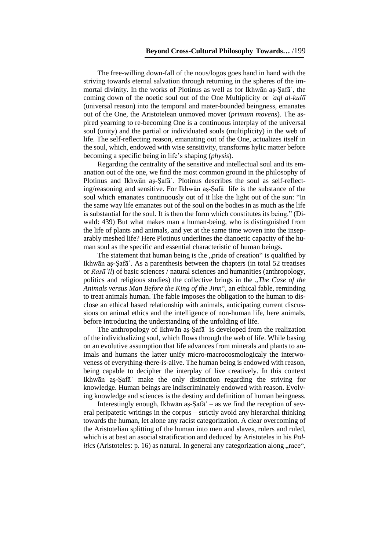The free-willing down-fall of the nous/logos goes hand in hand with the striving towards eternal salvation through returning in the spheres of the immortal divinity. In the works of Plotinus as well as for Ikhwān aṣ-Ṣafāʾ, the coming down of the noetic soul out of the One Multiplicity or *aql al-kullī* (universal reason) into the temporal and mater-bounded beingness, emanates out of the One, the Aristotelean unmoved mover (*primum movens*). The aspired yearning to re-becoming One is a continuous interplay of the universal soul (unity) and the partial or individuated souls (multiplicity) in the web of life. The self-reflecting reason, emanating out of the One, actualizes itself in the soul, which, endowed with wise sensitivity, transforms hylic matter before becoming a specific being in life's shaping (*physis*).

Regarding the centrality of the sensitive and intellectual soul and its emanation out of the one, we find the most common ground in the philosophy of Plotinus and Ikhwān aṣ-Ṣafāʾ. Plotinus describes the soul as self-reflecting/reasoning and sensitive. For Ikhwān aṣ-Ṣafāʾ life is the substance of the soul which emanates continuously out of it like the light out of the sun: "In the same way life emanates out of the soul on the bodies in as much as the life is substantial for the soul. It is then the form which constitutes its being." (Diwald: 439) But what makes man a human-being, who is distinguished from the life of plants and animals, and yet at the same time woven into the inseparably meshed life? Here Plotinus underlines the dianoetic capacity of the human soul as the specific and essential characteristic of human beings.

The statement that human being is the "pride of creation" is qualified by Ikhwān aṣ-Ṣafāʾ. As a parenthesis between the chapters (in total 52 treatises or *Rasāʾil*) of basic sciences / natural sciences and humanities (anthropology, politics and religious studies) the collective brings in the *"The Case of the Animals versus Man Before the King of the Jinn*", an ethical fable, reminding to treat animals human. The fable imposes the obligation to the human to disclose an ethical based relationship with animals, anticipating current discussions on animal ethics and the intelligence of non-human life, here animals, before introducing the understanding of the unfolding of life.

The anthropology of Ikhwān aṣ-Ṣafāʾ is developed from the realization of the individualizing soul, which flows through the web of life. While basing on an evolutive assumption that life advances from minerals and plants to animals and humans the latter unify micro-macrocosmologicaly the interwoveness of everything-there-is-alive. The human being is endowed with reason, being capable to decipher the interplay of live creatively. In this context Ikhwān aṣ-Ṣafāʾ make the only distinction regarding the striving for knowledge. Human beings are indiscriminately endowed with reason. Evolving knowledge and sciences is the destiny and definition of human beingness.

Interestingly enough, Ikhwān aṣ-Ṣafāʾ – as we find the reception of several peripatetic writings in the corpus – strictly avoid any hierarchal thinking towards the human, let alone any racist categorization. A clear overcoming of the Aristotelian splitting of the human into men and slaves, rulers and ruled, which is at best an asocial stratification and deduced by Aristoteles in his *Politics* (Aristoteles: p. 16) as natural. In general any categorization along "race",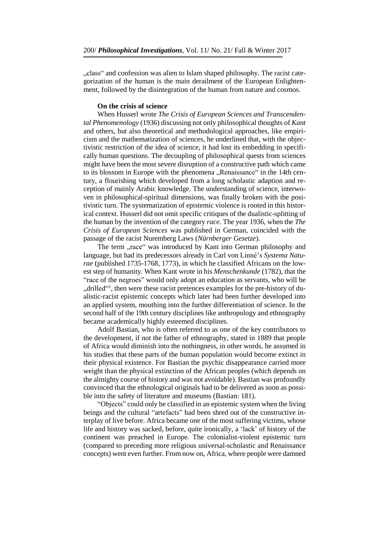"class" and confession was alien to Islam shaped philosophy. The racist categorization of the human is the main derailment of the European Enlightenment, followed by the disintegration of the human from nature and cosmos.

### **On the crisis of science**

When Husserl wrote *The Crisis of European Sciences and Transcendental Phenomenology* (1936) discussing not only philosophical thoughts of *Kant* and others, but also theoretical and methodological approaches, like empiricism and the mathematization of sciences, he underlined that, with the objectivistic restriction of the idea of science, it had lost its embedding in specifically human questions. The decoupling of philosophical quests from sciences might have been the most severe disruption of a constructive path which came to its blossom in Europe with the phenomena "Renaissance" in the 14th century, a flourishing which developed from a long scholastic adaption and reception of mainly Arabic knowledge. The understanding of science, interwoven in philosophical-spiritual dimensions, was finally broken with the positivistic turn. The systematization of epistemic violence is rooted in this historical context. Husserl did not omit specific critiques of the dualistic-splitting of the human by the invention of the category *race*. The year 1936, when the *The Crisis of European Sciences* was published in German, coincided with the passage of the racist Nuremberg Laws (*Nürnberger Gesetze*).

The term "race" was introduced by Kant into German philosophy and language, but had its predecessors already in Carl von Linné's *Systema Naturae* (published 1735-1768, 1773), in which he classified Africans on the lowest step of humanity. When Kant wrote in his *Menschenkunde* (1782), that the "race of the negroes" would only adopt an education as servants, who will be "drilled"<sup>1</sup>, then were these racist pretences examples for the pre-history of dualistic-racist epistemic concepts which later had been further developed into an applied system, mouthing into the further differentiation of science. In the second half of the 19th century disciplines like anthropology and ethnography became academically highly esteemed disciplines.

Adolf Bastian, who is often referred to as one of the key contributors to the development, if not the father of ethnography, stated in 1889 that people of Africa would diminish into the nothingness, in other words, he assumed in his studies that these parts of the human population would become extinct in their physical existence. For Bastian the psychic disappearance carried more weight than the physical extinction of the African peoples (which depends on the almighty course of history and was not avoidable). Bastian was profoundly convinced that the ethnological originals had to be delivered as soon as possible into the safety of literature and museums (Bastian: 181).

"Objects" could only be classified in an epistemic system when the living beings and the cultural "artefacts" had been shred out of the constructive interplay of live before. Africa became one of the most suffering victims, whose life and history was sacked, before, quite ironically, a 'lack' of history of the continent was preached in Europe. The colonialist-violent epistemic turn (compared to preceding more religious universal-scholastic and Renaissance concepts) went even further. From now on, Africa, where people were damned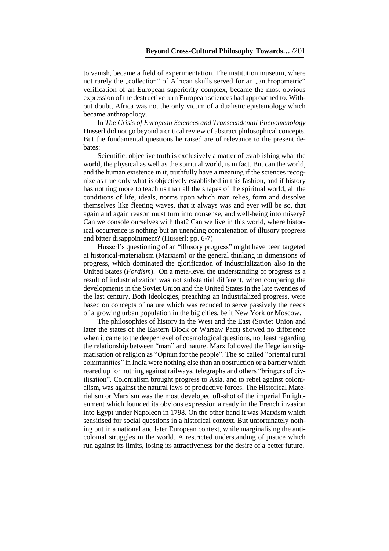to vanish, became a field of experimentation. The institution museum, where not rarely the "collection" of African skulls served for an "anthropometric" verification of an European superiority complex, became the most obvious expression of the destructive turn European sciences had approached to. Without doubt, Africa was not the only victim of a dualistic epistemology which became anthropology.

In *The Crisis of European Sciences and Transcendental Phenomenology* Husserl did not go beyond a critical review of abstract philosophical concepts. But the fundamental questions he raised are of relevance to the present debates:

Scientific, objective truth is exclusively a matter of establishing what the world, the physical as well as the spiritual world, is in fact. But can the world, and the human existence in it, truthfully have a meaning if the sciences recognize as true only what is objectively established in this fashion, and if history has nothing more to teach us than all the shapes of the spiritual world, all the conditions of life, ideals, norms upon which man relies, form and dissolve themselves like fleeting waves, that it always was and ever will be so, that again and again reason must turn into nonsense, and well-being into misery? Can we console ourselves with that? Can we live in this world, where historical occurrence is nothing but an unending concatenation of illusory progress and bitter disappointment? (Husserl: pp. 6-7)

Husserl's questioning of an "illusory progress" might have been targeted at historical-materialism (Marxism) or the general thinking in dimensions of progress, which dominated the glorification of industrialization also in the United States (*Fordism*). On a meta-level the understanding of progress as a result of industrialization was not substantial different, when comparing the developments in the Soviet Union and the United States in the late twenties of the last century. Both ideologies, preaching an industrialized progress, were based on concepts of nature which was reduced to serve passively the needs of a growing urban population in the big cities, be it New York or Moscow.

The philosophies of history in the West and the East (Soviet Union and later the states of the Eastern Block or Warsaw Pact) showed no difference when it came to the deeper level of cosmological questions, not least regarding the relationship between "man" and nature. Marx followed the Hegelian stigmatisation of religion as "Opium for the people". The so called "oriental rural communities" in India were nothing else than an obstruction or a barrier which reared up for nothing against railways, telegraphs and others "bringers of civilisation". Colonialism brought progress to Asia, and to rebel against colonialism, was against the natural laws of productive forces. The Historical Materialism or Marxism was the most developed off-shot of the imperial Enlightenment which founded its obvious expression already in the French invasion into Egypt under Napoleon in 1798. On the other hand it was Marxism which sensitised for social questions in a historical context. But unfortunately nothing but in a national and later European context, while marginalising the anticolonial struggles in the world. A restricted understanding of justice which run against its limits, losing its attractiveness for the desire of a better future.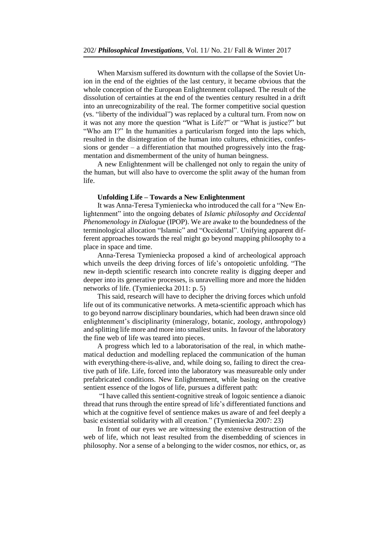When Marxism suffered its downturn with the collapse of the Soviet Union in the end of the eighties of the last century, it became obvious that the whole conception of the European Enlightenment collapsed. The result of the dissolution of certainties at the end of the twenties century resulted in a drift into an unrecognizability of the real. The former competitive social question (vs. "liberty of the individual") was replaced by a cultural turn. From now on it was not any more the question "What is Life?" or "What is justice?" but "Who am I?" In the humanities a particularism forged into the laps which, resulted in the disintegration of the human into cultures, ethnicities, confessions or gender – a differentiation that mouthed progressively into the fragmentation and dismemberment of the unity of human beingness.

A new Enlightenment will be challenged not only to regain the unity of the human, but will also have to overcome the split away of the human from life.

## **Unfolding Life – Towards a New Enlightenment**

It was Anna-Teresa Tymieniecka who introduced the call for a "New Enlightenment" into the ongoing debates of *Islamic philosophy and Occidental Phenomenology in Dialogue* (IPOP). We are awake to the boundedness of the terminological allocation "Islamic" and "Occidental". Unifying apparent different approaches towards the real might go beyond mapping philosophy to a place in space and time.

Anna-Teresa Tymieniecka proposed a kind of archeological approach which unveils the deep driving forces of life's ontopoietic unfolding. "The new in-depth scientific research into concrete reality is digging deeper and deeper into its generative processes, is unravelling more and more the hidden networks of life. (Tymieniecka 2011: p. 5)

This said, research will have to decipher the driving forces which unfold life out of its communicative networks. A meta-scientific approach which has to go beyond narrow disciplinary boundaries, which had been drawn since old enlightenment's disciplinarity (mineralogy, botanic, zoology, anthropology) and splitting life more and more into smallest units. In favour of the laboratory the fine web of life was teared into pieces.

A progress which led to a laboratorisation of the real, in which mathematical deduction and modelling replaced the communication of the human with everything-there-is-alive, and, while doing so, failing to direct the creative path of life. Life, forced into the laboratory was measureable only under prefabricated conditions. New Enlightenment, while basing on the creative sentient essence of the logos of life, pursues a different path:

"I have called this sentient-cognitive streak of logoic sentience a dianoic thread that runs through the entire spread of life's differentiated functions and which at the cognitive fevel of sentience makes us aware of and feel deeply a basic existential solidarity with all creation." (Tymieniecka 2007: 23)

In front of our eyes we are witnessing the extensive destruction of the web of life, which not least resulted from the disembedding of sciences in philosophy. Nor a sense of a belonging to the wider cosmos, nor ethics, or, as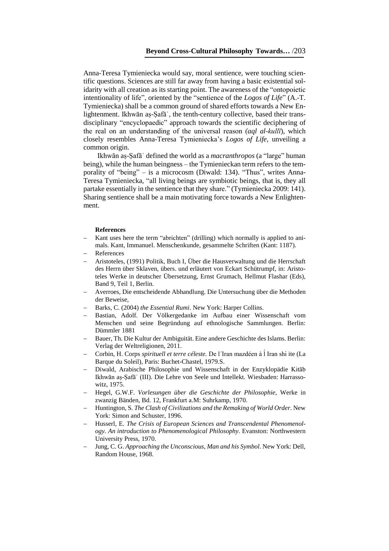Anna-Teresa Tymieniecka would say, moral sentience, were touching scientific questions. Sciences are still far away from having a basic existential solidarity with all creation as its starting point. The awareness of the "ontopoietic intentionality of life", oriented by the "sentience of the *Logos of Life*" (A.-T. Tymieniecka) shall be a common ground of shared efforts towards a New Enlightenment. Ikhwān aṣ-Ṣafāʾ, the tenth-century collective, based their transdisciplinary "encyclopaedic" approach towards the scientific deciphering of the real on an understanding of the universal reason (*aql al-kullī*), which closely resembles Anna-Teresa Tymieniecka's *Logos of Life*, unveiling a common origin.

Ikhwān aṣ-Ṣafāʾ defined the world as a *macranthropos* (a "large" human being), while the human beingness – the Tymienieckan term refers to the temporality of "being" – is a microcosm (Diwald: 134). "Thus", writes Anna-Teresa Tymieniecka, "all living beings are symbiotic beings, that is, they all partake essentially in the sentience that they share." (Tymieniecka 2009: 141). Sharing sentience shall be a main motivating force towards a New Enlightenment.

#### **References**

- Kant uses here the term "abrichten" (drilling) which normally is applied to animals. Kant, Immanuel. Menschenkunde, gesammelte Schriften (Kant: 1187).
- References
- Aristoteles, (1991) Politik, Buch I, Über die Hausverwaltung und die Herrschaft des Herrn über Sklaven, übers. und erläutert von Eckart Schütrumpf, in: Aristoteles Werke in deutscher Übersetzung, Ernst Grumach, Hellmut Flashar (Eds), Band 9, Teil 1, Berlin.
- Averroes, Die entscheidende Abhandlung. Die Untersuchung über die Methoden der Beweise,
- Barks, C. (2004) *the Essential Rumi*. New York: Harper Collins.
- Bastian, Adolf. Der Völkergedanke im Aufbau einer Wissenschaft vom Menschen und seine Begründung auf ethnologische Sammlungen. Berlin: Dümmler 1881
- Bauer, Th. Die Kultur der Ambiguität. Eine andere Geschichte des Islams. Berlin: Verlag der Weltreligionen, 2011.
- Corbin, H. Corps *spirituell et terre céleste.* De l´Iran mazdéen à l Iran shi̓ ite (La ̓ Barque du Soleil), Paris: Buchet-Chastel, 1979.S.
- Diwald, Arabische Philosophie und Wissenschaft in der Enzyklopädie Kitāb Ikhwān aṣ-Ṣafāʾ (III). Die Lehre von Seele und Intellekt. Wiesbaden: Harrassowitz, 1975.
- Hegel, G.W.F. *Vorlesungen über die Geschichte der Philosophie*, Werke in zwanzig Bänden, Bd. 12, Frankfurt a.M: Suhrkamp, 1970.
- Huntington, S. *The Clash of Civilizations and the Remaking of World Order*. New York: Simon and Schuster, 1996.
- Husserl, E. *The Crisis of European Sciences and Transcendental Phenomenology. An introduction to Phenomenological Philosophy*. Evanston: Northwestern University Press, 1970.
- Jung, C. G. *Approaching the Unconscious, Man and his Symbol*. New York: Dell, Random House, 1968.